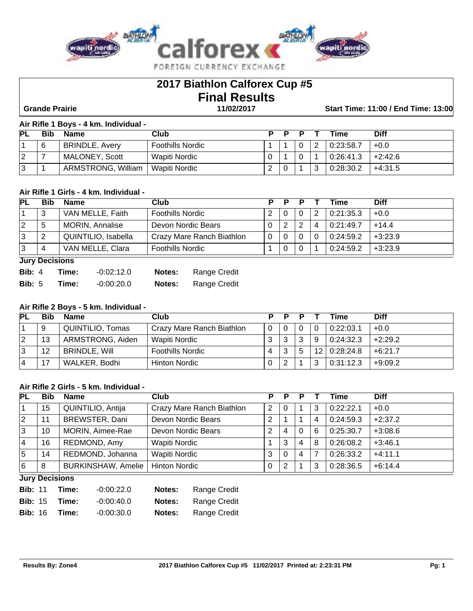

# **2017 Biathlon Calforex Cup #5 Final Results**

 **Grande Prairie 11/02/2017 Start Time: 11:00 / End Time: 13:00**

### **Air Rifle 1 Boys - 4 km. Individual -**

| <b>PL</b> |   | <b>Name</b>           | Club                    | Ð |   | Time      | Diff      |
|-----------|---|-----------------------|-------------------------|---|---|-----------|-----------|
|           | 6 | <b>BRINDLE, Avery</b> | <b>Foothills Nordic</b> |   |   | 0:23:58.7 | $+0.0$    |
| 2         |   | MALONEY, Scott        | Wapiti Nordic           |   |   | 0:26:41.3 | $+2:42.6$ |
| 3         |   | ARMSTRONG, William    | Wapiti Nordic           |   | ົ | 0:28:30.2 | $+4:31.5$ |

# **Air Rifle 1 Girls - 4 km. Individual -**

| <b>PL</b> | <b>Bib</b> | <b>Name</b>            | Club                      | P | D |   | Time      | <b>Diff</b> |
|-----------|------------|------------------------|---------------------------|---|---|---|-----------|-------------|
|           | 3          | VAN MELLE, Faith       | <b>Foothills Nordic</b>   |   | 0 | っ | 0:21:35.3 | $+0.0$      |
| 2         | b          | <b>MORIN, Annalise</b> | Devon Nordic Bears        | 2 | ົ |   | 0:21:49.7 | $+14.4$     |
| 13        | ◠          | QUINTILIO, Isabella    | Crazy Mare Ranch Biathlon |   |   |   | 0:24:59.2 | $+3:23.9$   |
| 13        | 4          | VAN MELLE, Clara       | <b>Foothills Nordic</b>   |   |   |   | 0:24:59.2 | $+3:23.9$   |

### **Jury Decisions**

| <b>Bib:</b> $4$ | Time: | $-0.02:12.0$ | Notes:        | Range Credit |
|-----------------|-------|--------------|---------------|--------------|
| <b>Bib:</b> $5$ | Time: | -0:00:20.0   | <b>Notes:</b> | Range Credit |

# **Air Rifle 2 Boys - 5 km. Individual -**

| PL | Bib | <b>Name</b>          | Club                      | D | D |   |   | Time         | <b>Diff</b> |
|----|-----|----------------------|---------------------------|---|---|---|---|--------------|-------------|
|    | 9   | QUINTILIO, Tomas     | Crazy Mare Ranch Biathlon | 0 |   |   | 0 | 0:22:03.1    | $+0.0$      |
| 12 | 13  | ARMSTRONG, Aiden     | Wapiti Nordic             |   |   | 3 | 9 | 0:24:32.3    | $+2:29.2$   |
| 13 | 12  | <b>BRINDLE, Will</b> | <b>Foothills Nordic</b>   | 4 | 3 | 5 |   | 12 0:28:24.8 | $+6:21.7$   |
| 4  | 17  | WALKER, Bodhi        | <b>Hinton Nordic</b>      |   |   |   | າ | 0:31:12.3    | $+9:09.2$   |

## **Air Rifle 2 Girls - 5 km. Individual -**

| <b>PL</b> | <b>Bib</b>            | <b>Name</b>               | Club                      | Р | Р        |   |   | Time      | <b>Diff</b> |  |  |
|-----------|-----------------------|---------------------------|---------------------------|---|----------|---|---|-----------|-------------|--|--|
|           | 15                    | QUINTILIO, Antija         | Crazy Mare Ranch Biathlon | 2 | 0        |   | 3 | 0:22:22.1 | $+0.0$      |  |  |
| 12        | 11                    | BREWSTER, Dani            | Devon Nordic Bears        | 2 |          |   | 4 | 0:24:59.3 | $+2:37.2$   |  |  |
| 13        | 10                    | MORIN, Aimee-Rae          | Devon Nordic Bears        | 2 | 4        | 0 | 6 | 0:25:30.7 | $+3:08.6$   |  |  |
| 14        | 16                    | REDMOND, Amy              | <b>Wapiti Nordic</b>      |   | 3        | 4 | 8 | 0:26:08.2 | $+3:46.1$   |  |  |
| 5         | 14                    | REDMOND, Johanna          | Wapiti Nordic             | 3 | $\Omega$ | 4 |   | 0:26:33.2 | $+4:11.1$   |  |  |
| 6         | 8                     | <b>BURKINSHAW, Amelie</b> | <b>Hinton Nordic</b>      | 0 | 2        |   | 3 | 0:28:36.5 | $+6:14.4$   |  |  |
|           | <b>Lury Decisions</b> |                           |                           |   |          |   |   |           |             |  |  |

**Jury Decisions**

| <b>Bib: 11</b> | Time: | $-0.00:22.0$ | <b>Notes:</b> | Range Credit |
|----------------|-------|--------------|---------------|--------------|
| <b>Bib: 15</b> | Time: | $-0.00:40.0$ | Notes:        | Range Credit |
| <b>Bib: 16</b> | Time: | $-0.00:30.0$ | Notes:        | Range Credit |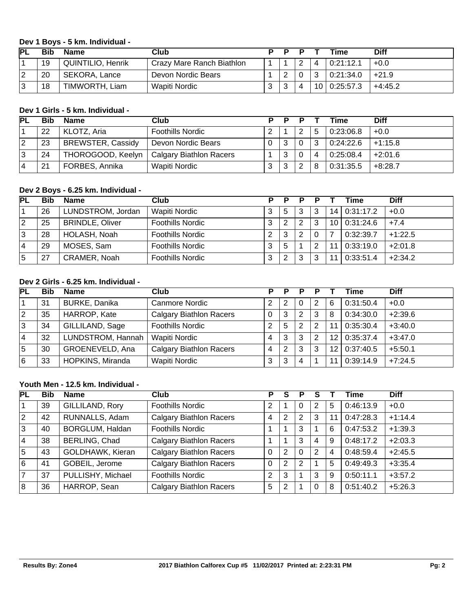## **Dev 1 Boys - 5 km. Individual -**

| <b>PL</b> | Bit | <b>Name</b>              | Club                      |   |        |   | <b>Time</b>  | <b>Diff</b> |
|-----------|-----|--------------------------|---------------------------|---|--------|---|--------------|-------------|
|           | 19  | <b>QUINTILIO, Henrik</b> | Crazy Mare Ranch Biathlon |   | ົ<br>▃ |   | 0:21:12.1    | $+0.0$      |
| ົ         | 20  | SEKORA, Lance            | Devon Nordic Bears        |   |        | ີ | 0:21:34.0    | $+21.9$     |
| ົ         | 18  | TIMWORTH, Liam           | Wapiti Nordic             | ົ | Δ      |   | 10 0:25:57.3 | $+4:45.2$   |

## **Dev 1 Girls - 5 km. Individual -**

| IΡI |    | <b>Name</b>              | Club                           | P |   |   | Time      | <b>Diff</b> |
|-----|----|--------------------------|--------------------------------|---|---|---|-----------|-------------|
|     | 22 | KLOTZ, Aria              | <b>Foothills Nordic</b>        |   | ົ | 5 | 0:23:06.8 | $+0.0$      |
| 2   | 23 | <b>BREWSTER, Cassidy</b> | Devon Nordic Bears             | ີ | 0 | າ | 0:24:22.6 | $+1:15.8$   |
| 13  | 24 | THOROGOOD, Keelyn        | <b>Calgary Biathlon Racers</b> | 3 |   | Δ | 0:25:08.4 | $+2:01.6$   |
|     | 21 | FORBES, Annika           | Wapiti Nordic                  | ົ | ົ | 8 | 0:31:35.5 | $+8:28.7$   |

## **Dev 2 Boys - 6.25 km. Individual -**

| <b>PL</b> | Bib | <b>Name</b>            | Club                    | D | D | D |   |    | Γime           | <b>Diff</b> |
|-----------|-----|------------------------|-------------------------|---|---|---|---|----|----------------|-------------|
|           | 26  | LUNDSTROM, Jordan      | Wapiti Nordic           |   | đ | 3 |   |    | 14 0:31:17.2   | $+0.0$      |
| 2         | 25  | <b>BRINDLE, Oliver</b> | <b>Foothills Nordic</b> | 3 |   | 2 | 3 |    | 10   0:31:24.6 | $+7.4$      |
| 3         | 28  | HOLASH, Noah           | <b>Foothills Nordic</b> | ⌒ |   | 2 |   |    | 0:32:39.7      | $+1:22.5$   |
| 4         | 29  | MOSES, Sam             | <b>Foothills Nordic</b> | 3 | 5 |   | ົ | 11 | 0.33:19.0      | $+2:01.8$   |
| 5         | 27  | CRAMER, Noah           | <b>Foothills Nordic</b> | ົ |   | 3 | ົ |    | 0:33:51.4      | $+2:34.2$   |

# **Dev 2 Girls - 6.25 km. Individual -**

| <b>PL</b> | Bib | <b>Name</b>          | Club                           |   | P | Р        |   |    | Time      | <b>Diff</b> |
|-----------|-----|----------------------|--------------------------------|---|---|----------|---|----|-----------|-------------|
|           | 31  | <b>BURKE, Danika</b> | Canmore Nordic                 |   | 2 | $\Omega$ | 2 | 6  | 0:31:50.4 | $+0.0$      |
| 2         | 35  | HARROP, Kate         | <b>Calgary Biathlon Racers</b> | 0 | 3 | 2        | 3 | 8  | 0:34:30.0 | $+2:39.6$   |
| 3         | 34  | GILLILAND, Sage      | <b>Foothills Nordic</b>        | ⌒ | 5 | 2        | 2 | 11 | 0:35:30.4 | $+3:40.0$   |
| 4         | 32  | LUNDSTROM, Hannah    | Wapiti Nordic                  | 4 | 3 | 3        | 2 | 12 | 0:35:37.4 | $+3:47.0$   |
| 5         | 30  | GROENEVELD, Ana      | <b>Calgary Biathlon Racers</b> | 4 | っ | 3        | 3 | 12 | 0:37:40.5 | $+5:50.1$   |
| 6         | 33  | HOPKINS, Miranda     | Wapiti Nordic                  | 3 | 3 | 4        |   | 11 | 0:39:14.9 | $+7:24.5$   |

# **Youth Men - 12.5 km. Individual -**

| PL             | <b>Bib</b> | <b>Name</b>       | Club                           | Р        |                | Р              |   |   | Time      | <b>Diff</b> |
|----------------|------------|-------------------|--------------------------------|----------|----------------|----------------|---|---|-----------|-------------|
|                | 39         | GILLILAND, Rory   | <b>Foothills Nordic</b>        | 2        |                | $\Omega$       | 2 | 5 | 0:46:13.9 | $+0.0$      |
| <u> 2</u>      | 42         | RUNNALLS, Adam    | <b>Calgary Biathlon Racers</b> | 4        |                | 2              | 3 |   | 0:47:28.3 | $+1:14.4$   |
| lз             | 40         | BORGLUM, Haldan   | <b>Foothills Nordic</b>        |          |                | 3              |   | 6 | 0:47:53.2 | $+1:39.3$   |
| $ 4\rangle$    | 38         | BERLING, Chad     | <b>Calgary Biathlon Racers</b> |          |                | 3              | 4 | 9 | 0:48:17.2 | $+2:03.3$   |
| 5              | 43         | GOLDHAWK, Kieran  | <b>Calgary Biathlon Racers</b> | $\Omega$ | 2              | $\Omega$       | 2 | 4 | 0:48:59.4 | $+2:45.5$   |
| 6              | 41         | GOBEIL, Jerome    | <b>Calgary Biathlon Racers</b> | $\Omega$ | $\overline{2}$ | $\overline{2}$ |   | 5 | 0:49:49.3 | $+3:35.4$   |
| $\overline{7}$ | 37         | PULLISHY, Michael | <b>Foothills Nordic</b>        | 2        | 3              |                | 3 | 9 | 0:50:11.1 | $+3:57.2$   |
| 18             | 36         | HARROP, Sean      | <b>Calgary Biathlon Racers</b> | 5        | າ              |                | 0 | 8 | 0:51:40.2 | $+5:26.3$   |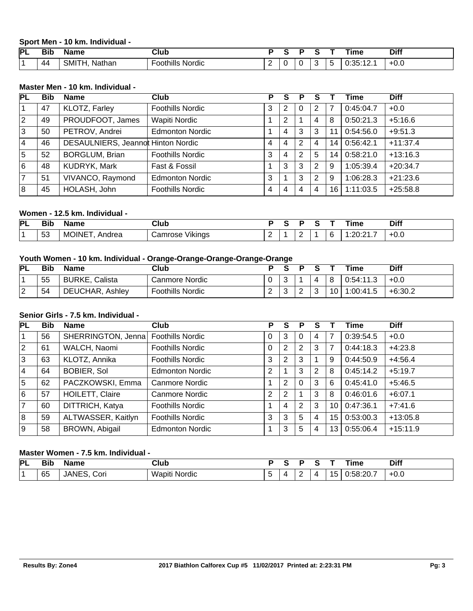**Sport Men - 10 km. Individual -** 

| IΡL | DH.<br>DIN | Name                   | Club                                       |  |   |  | <b>ime</b>   | <b>Diff</b> |
|-----|------------|------------------------|--------------------------------------------|--|---|--|--------------|-------------|
|     | 44         | SMITI<br>Nathan<br>. . | $\cdots$<br>$\cdots$<br>Nordic<br>oothills |  | ັ |  | $\sim$<br>J. | ່ +0.⊾      |

# **Master Men - 10 km. Individual -**

| <b>PL</b>   | <b>Bib</b> | <b>Name</b>                        | Club                    | Р | S | Р | s |    | Time      | <b>Diff</b> |
|-------------|------------|------------------------------------|-------------------------|---|---|---|---|----|-----------|-------------|
| l 1         | 47         | KLOTZ, Farley                      | <b>Foothills Nordic</b> | 3 |   | 0 | 2 |    | 0:45:04.7 | $+0.0$      |
| $ 2\rangle$ | 49         | PROUDFOOT, James                   | <b>Wapiti Nordic</b>    |   | 2 |   | 4 | 8  | 0:50:21.3 | $+5:16.6$   |
| lз          | 50         | PETROV, Andrei                     | <b>Edmonton Nordic</b>  |   | 4 | 3 | 3 |    | 0.54:56.0 | $+9:51.3$   |
| 14          | 46         | DESAULNIERS, Jeannot Hinton Nordic |                         | 4 | 4 | 2 | 4 | 14 | 0:56:42.1 | $+11:37.4$  |
| $\sqrt{5}$  | 52         | <b>BORGLUM, Brian</b>              | <b>Foothills Nordic</b> | 3 | 4 | 2 | 5 | 14 | 0:58:21.0 | $+13:16.3$  |
| 6           | 48         | KUDRYK, Mark                       | Fast & Fossil           |   | 3 | 3 | 2 | 9  | 1:05:39.4 | $+20:34.7$  |
| 7           | 51         | VIVANCO, Raymond                   | <b>Edmonton Nordic</b>  | 3 |   | 3 | 2 | 9  | 1:06:28.3 | $+21:23.6$  |
| 8           | 45         | HOLASH, John                       | <b>Foothills Nordic</b> | 4 | 4 | 4 | 4 | 16 | 1:11:03.5 | $+25:58.8$  |

## **Women - 12.5 km. Individual -**

| ÞІ | --<br>.<br>oг.            | ۱me                | Club                       |  |   |  | --<br>ıme | <b>Diff</b>                                    |
|----|---------------------------|--------------------|----------------------------|--|---|--|-----------|------------------------------------------------|
|    | $\mathbf{r}$<br>ు<br>$ -$ | M<br>drea<br>)INII | $\cdots$<br>'ıkına:<br>ירו |  | - |  |           | $\overline{\phantom{a}}$<br>- 11<br>TU.J<br>__ |

# **Youth Women - 10 km. Individual - Orange-Orange-Orange-Orange-Orange**

| <b>PL</b>   | <b>Bib</b> | <b>Name</b>       | Club             |             |   |        |    | ïme        | Diff      |
|-------------|------------|-------------------|------------------|-------------|---|--------|----|------------|-----------|
|             | 55         | BURKE,<br>Calista | Canmore Nordic   |             |   |        | റ  | 0:54:11.3  | $+0.0$    |
| $\sim$<br>▵ | 54         | DEUCHAR, Ashley   | Foothills Nordic | $\sim$<br>- | ີ | ⌒<br>▃ | 10 | 00:41.5. ا | $+6:30.2$ |

## **Senior Girls - 7.5 km. Individual -**

| <b>PL</b>   | <b>Bib</b> | <b>Name</b>        | Club                    | P        | S              | Р              |   |    | Time      | <b>Diff</b> |
|-------------|------------|--------------------|-------------------------|----------|----------------|----------------|---|----|-----------|-------------|
| 1           | 56         | SHERRINGTON, Jenna | <b>Foothills Nordic</b> | 0        | 3              | 0              | 4 |    | 0:39:54.5 | $+0.0$      |
| $ 2\rangle$ | 61         | WALCH, Naomi       | <b>Foothills Nordic</b> | $\Omega$ | 2              | 2              | 3 |    | 0:44:18.3 | $+4:23.8$   |
| ΙЗ          | 63         | KLOTZ, Annika      | <b>Foothills Nordic</b> | 3        | $\overline{2}$ | 3              |   | 9  | 0:44:50.9 | $+4:56.4$   |
| 14          | 64         | <b>BOBIER, Sol</b> | <b>Edmonton Nordic</b>  | 2        |                | 3              | 2 | 8  | 0:45:14.2 | $+5:19.7$   |
| 5           | 62         | PACZKOWSKI, Emma   | Canmore Nordic          |          | 2              | 0              | 3 | 6  | 0:45:41.0 | $+5:46.5$   |
| 6           | 57         | HOILETT, Claire    | Canmore Nordic          | 2        | 2              |                | 3 | 8  | 0:46:01.6 | $+6:07.1$   |
| 7           | 60         | DITTRICH, Katya    | <b>Foothills Nordic</b> |          | 4              | $\overline{2}$ | 3 | 10 | 0:47:36.1 | $+7:41.6$   |
| 8           | 59         | ALTWASSER, Kaitlyn | <b>Foothills Nordic</b> | 3        | 3              | 5              | 4 | 15 | 0:53:00.3 | $+13:05.8$  |
| 9           | 58         | BROWN, Abigail     | <b>Edmonton Nordic</b>  |          | 3              | 5              | 4 | 13 | 0:55:06.4 | $+15:11.9$  |

# **Master Women - 7.5 km. Individual -**

| PL | <b>Bit</b> | . .<br><b>Name</b>     | <b>Club</b>          |         |   |          |    | `ime      | <b>Diff</b> |
|----|------------|------------------------|----------------------|---------|---|----------|----|-----------|-------------|
|    | 65         | NITC<br>Cori<br>JANES. | . .<br>Wapiti Nordic | -<br>τ. | - | $\prime$ | l5 | 0:58:20.7 | ' +0.∪      |